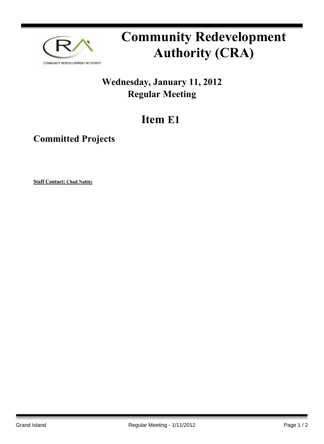

## **Community Redevelopment Authority (CRA)**

## **Wednesday, January 11, 2012 Regular Meeting**

## **Item E1**

## **Committed Projects**

**Staff Contact: Chad Nabity**